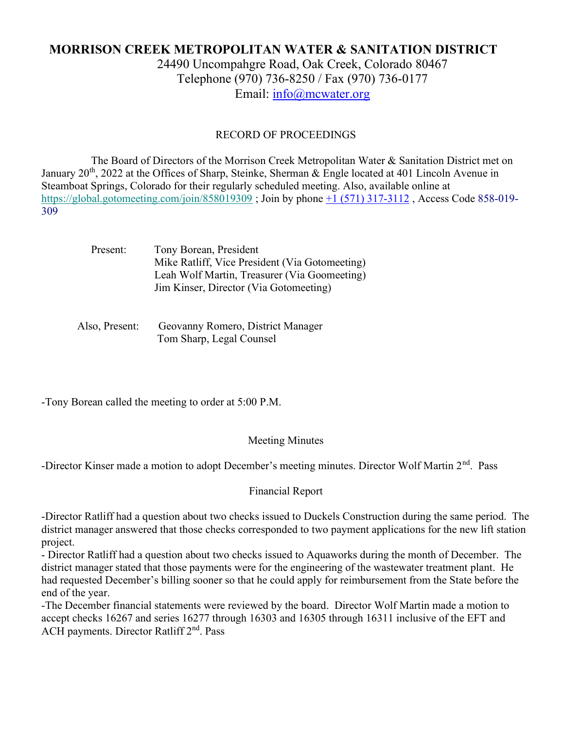# MORRISON CREEK METROPOLITAN WATER & SANITATION DISTRICT

24490 Uncompahgre Road, Oak Creek, Colorado 80467 Telephone (970) 736-8250 / Fax (970) 736-0177 Email: info@mcwater.org

#### RECORD OF PROCEEDINGS

 The Board of Directors of the Morrison Creek Metropolitan Water & Sanitation District met on January 20<sup>th</sup>, 2022 at the Offices of Sharp, Steinke, Sherman & Engle located at 401 Lincoln Avenue in Steamboat Springs, Colorado for their regularly scheduled meeting. Also, available online at https://global.gotomeeting.com/join/858019309 ; Join by phone +1 (571) 317-3112 , Access Code 858-019- 309

> Present: Tony Borean, President Mike Ratliff, Vice President (Via Gotomeeting) Leah Wolf Martin, Treasurer (Via Goomeeting) Jim Kinser, Director (Via Gotomeeting)

 Also, Present: Geovanny Romero, District Manager Tom Sharp, Legal Counsel

-Tony Borean called the meeting to order at 5:00 P.M.

#### Meeting Minutes

-Director Kinser made a motion to adopt December's meeting minutes. Director Wolf Martin 2<sup>nd</sup>. Pass

#### Financial Report

-Director Ratliff had a question about two checks issued to Duckels Construction during the same period. The district manager answered that those checks corresponded to two payment applications for the new lift station project.

- Director Ratliff had a question about two checks issued to Aquaworks during the month of December. The district manager stated that those payments were for the engineering of the wastewater treatment plant. He had requested December's billing sooner so that he could apply for reimbursement from the State before the end of the year.

-The December financial statements were reviewed by the board. Director Wolf Martin made a motion to accept checks 16267 and series 16277 through 16303 and 16305 through 16311 inclusive of the EFT and ACH payments. Director Ratliff 2<sup>nd</sup>. Pass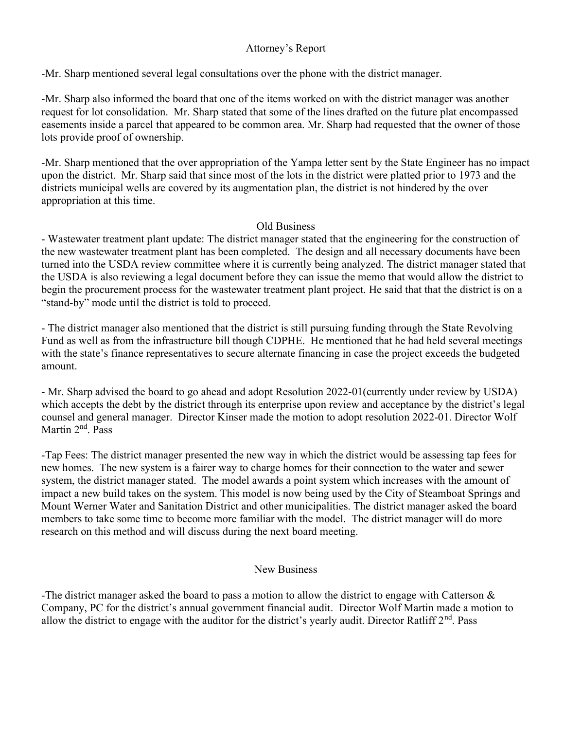### Attorney's Report

-Mr. Sharp mentioned several legal consultations over the phone with the district manager.

-Mr. Sharp also informed the board that one of the items worked on with the district manager was another request for lot consolidation. Mr. Sharp stated that some of the lines drafted on the future plat encompassed easements inside a parcel that appeared to be common area. Mr. Sharp had requested that the owner of those lots provide proof of ownership.

-Mr. Sharp mentioned that the over appropriation of the Yampa letter sent by the State Engineer has no impact upon the district. Mr. Sharp said that since most of the lots in the district were platted prior to 1973 and the districts municipal wells are covered by its augmentation plan, the district is not hindered by the over appropriation at this time.

### Old Business

- Wastewater treatment plant update: The district manager stated that the engineering for the construction of the new wastewater treatment plant has been completed. The design and all necessary documents have been turned into the USDA review committee where it is currently being analyzed. The district manager stated that the USDA is also reviewing a legal document before they can issue the memo that would allow the district to begin the procurement process for the wastewater treatment plant project. He said that that the district is on a "stand-by" mode until the district is told to proceed.

- The district manager also mentioned that the district is still pursuing funding through the State Revolving Fund as well as from the infrastructure bill though CDPHE. He mentioned that he had held several meetings with the state's finance representatives to secure alternate financing in case the project exceeds the budgeted amount.

- Mr. Sharp advised the board to go ahead and adopt Resolution 2022-01(currently under review by USDA) which accepts the debt by the district through its enterprise upon review and acceptance by the district's legal counsel and general manager. Director Kinser made the motion to adopt resolution 2022-01. Director Wolf Martin 2<sup>nd</sup>. Pass

-Tap Fees: The district manager presented the new way in which the district would be assessing tap fees for new homes. The new system is a fairer way to charge homes for their connection to the water and sewer system, the district manager stated. The model awards a point system which increases with the amount of impact a new build takes on the system. This model is now being used by the City of Steamboat Springs and Mount Werner Water and Sanitation District and other municipalities. The district manager asked the board members to take some time to become more familiar with the model. The district manager will do more research on this method and will discuss during the next board meeting.

### New Business

-The district manager asked the board to pass a motion to allow the district to engage with Catterson  $\&$ Company, PC for the district's annual government financial audit. Director Wolf Martin made a motion to allow the district to engage with the auditor for the district's yearly audit. Director Ratliff  $2<sup>nd</sup>$ . Pass